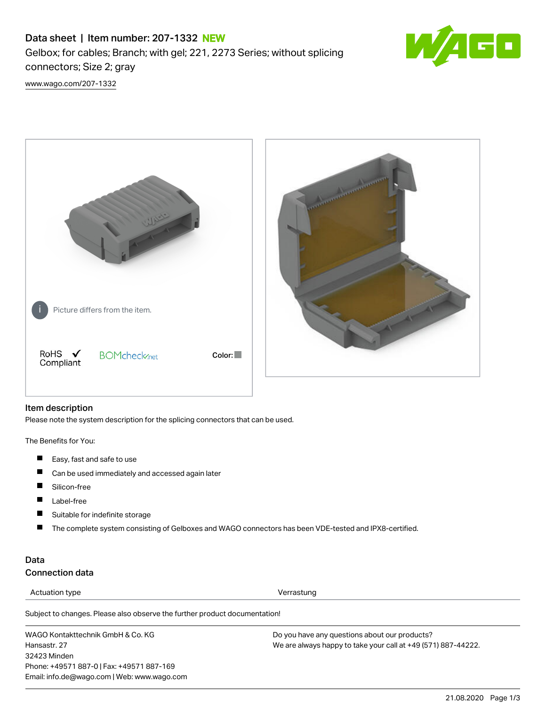# Data sheet | Item number: 207-1332 NEW

Gelbox; for cables; Branch; with gel; 221, 2273 Series; without splicing connectors; Size 2; gray



[www.wago.com/207-1332](http://www.wago.com/207-1332)



#### Item description

Please note the system description for the splicing connectors that can be used.

The Benefits for You:

- $\blacksquare$ Easy, fast and safe to use
- П Can be used immediately and accessed again later
- П Silicon-free
- $\blacksquare$ Label-free
- $\blacksquare$ Suitable for indefinite storage
- $\blacksquare$ The complete system consisting of Gelboxes and WAGO connectors has been VDE-tested and IPX8-certified.

### Data Connection data

Actuation type **Verrastung** 

Subject to changes. Please also observe the further product documentation!

WAGO Kontakttechnik GmbH & Co. KG Hansastr. 27 32423 Minden Phone: +49571 887-0 | Fax: +49571 887-169 Email: info.de@wago.com | Web: www.wago.com Do you have any questions about our products? We are always happy to take your call at +49 (571) 887-44222.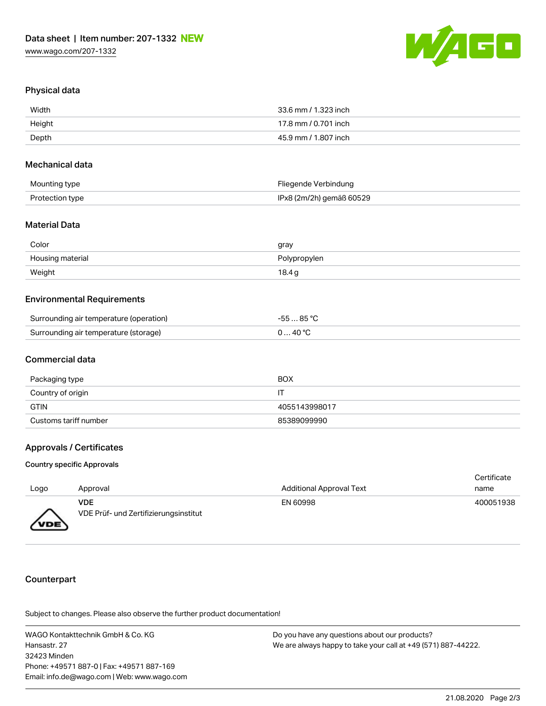

### Physical data

| Width  | 33.6 mm / 1.323 inch |
|--------|----------------------|
| Height | 17.8 mm / 0.701 inch |
| Depth  | 45.9 mm / 1.807 inch |

#### Mechanical data

| Mounting type   | Fliegende Verbindung     |
|-----------------|--------------------------|
| Protection type | IPx8 (2m/2h) gemäß 60529 |

### Material Data

| Color            | gray         |
|------------------|--------------|
| Housing material | Polypropylen |
| Weight           | 18.4g        |

### Environmental Requirements

| Surrounding air temperature (operation) | -55 … 85 ℃       |
|-----------------------------------------|------------------|
| Surrounding air temperature (storage)   | $0 \ldots 40$ °C |

#### Commercial data

| Packaging type        | BOX           |
|-----------------------|---------------|
| Country of origin     |               |
| GTIN                  | 4055143998017 |
| Customs tariff number | 85389099990   |

#### Approvals / Certificates

#### Country specific Approvals

|                  |                                       |                                 | Certificate |
|------------------|---------------------------------------|---------------------------------|-------------|
| Logo             | Approval                              | <b>Additional Approval Text</b> | name        |
|                  | <b>VDE</b>                            | EN 60998                        | 400051938   |
| VDE <sup>\</sup> | VDE Prüf- und Zertifizierungsinstitut |                                 |             |

### **Counterpart**

Subject to changes. Please also observe the further product documentation!

WAGO Kontakttechnik GmbH & Co. KG Hansastr. 27 32423 Minden Phone: +49571 887-0 | Fax: +49571 887-169 Email: info.de@wago.com | Web: www.wago.com

Do you have any questions about our products? We are always happy to take your call at +49 (571) 887-44222.